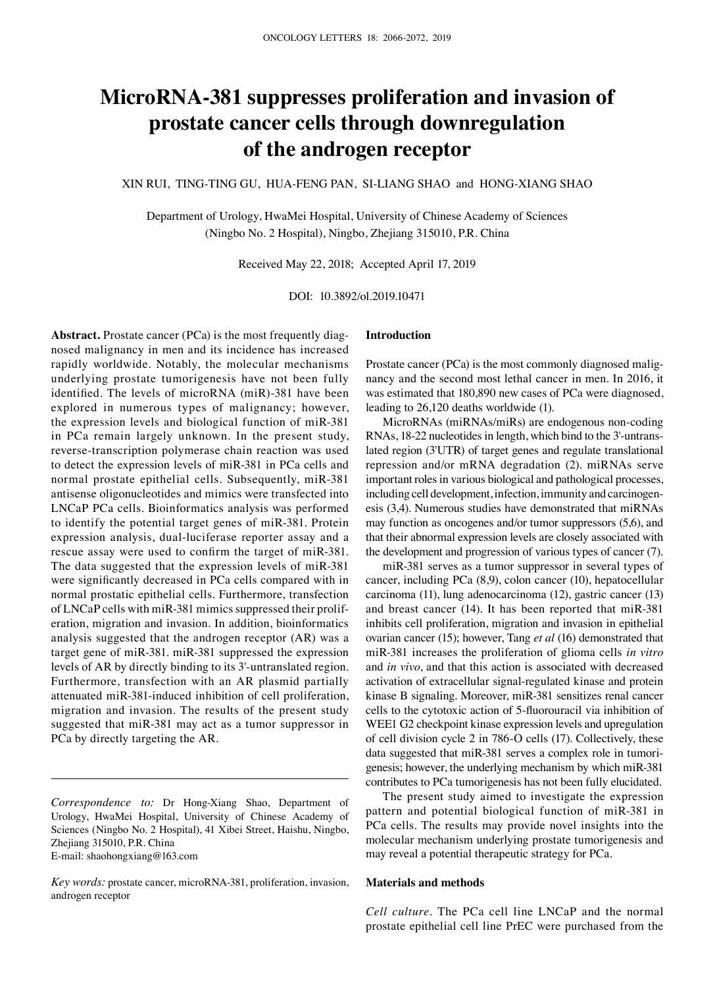# **MicroRNA‑381 suppresses proliferation and invasion of prostate cancer cells through downregulation of the androgen receptor**

XIN RUI, TING‑TING GU, HUA‑FENG PAN, SI‑LIANG SHAO and HONG‑XIANG SHAO

Department of Urology, HwaMei Hospital, University of Chinese Academy of Sciences (Ningbo No. 2 Hospital), Ningbo, Zhejiang 315010, P.R. China

Received May 22, 2018; Accepted April 17, 2019

DOI: 10.3892/ol.2019.10471

**Abstract.** Prostate cancer (PCa) is the most frequently diagnosed malignancy in men and its incidence has increased rapidly worldwide. Notably, the molecular mechanisms underlying prostate tumorigenesis have not been fully identified. The levels of microRNA (miR)-381 have been explored in numerous types of malignancy; however, the expression levels and biological function of miR‑381 in PCa remain largely unknown. In the present study, reverse-transcription polymerase chain reaction was used to detect the expression levels of miR‑381 in PCa cells and normal prostate epithelial cells. Subsequently, miR‑381 antisense oligonucleotides and mimics were transfected into LNCaP PCa cells. Bioinformatics analysis was performed to identify the potential target genes of miR‑381. Protein expression analysis, dual-luciferase reporter assay and a rescue assay were used to confirm the target of miR‑381. The data suggested that the expression levels of miR-381 were significantly decreased in PCa cells compared with in normal prostatic epithelial cells. Furthermore, transfection of LNCaP cells with miR‑381 mimics suppressed their proliferation, migration and invasion. In addition, bioinformatics analysis suggested that the androgen receptor (AR) was a target gene of miR‑381. miR‑381 suppressed the expression levels of AR by directly binding to its 3'‑untranslated region. Furthermore, transfection with an AR plasmid partially attenuated miR‑381‑induced inhibition of cell proliferation, migration and invasion. The results of the present study suggested that miR‑381 may act as a tumor suppressor in PCa by directly targeting the AR.

*Correspondence to:* Dr Hong‑Xiang Shao, Department of Urology, HwaMei Hospital, University of Chinese Academy of Sciences (Ningbo No. 2 Hospital), 41 Xibei Street, Haishu, Ningbo, Zhejiang 315010, P.R. China E‑mail: shaohongxiang@163.com

*Key words:* prostate cancer, microRNA‑381, proliferation, invasion, androgen receptor

# **Introduction**

Prostate cancer (PCa) is the most commonly diagnosed malignancy and the second most lethal cancer in men. In 2016, it was estimated that 180,890 new cases of PCa were diagnosed, leading to 26,120 deaths worldwide (1).

MicroRNAs (miRNAs/miRs) are endogenous non‑coding RNAs, 18-22 nucleotides in length, which bind to the 3'-untranslated region (3'UTR) of target genes and regulate translational repression and/or mRNA degradation (2). miRNAs serve important roles in various biological and pathological processes, including cell development, infection, immunity and carcinogenesis (3,4). Numerous studies have demonstrated that miRNAs may function as oncogenes and/or tumor suppressors (5,6), and that their abnormal expression levels are closely associated with the development and progression of various types of cancer (7).

miR‑381 serves as a tumor suppressor in several types of cancer, including PCa (8,9), colon cancer (10), hepatocellular carcinoma (11), lung adenocarcinoma (12), gastric cancer (13) and breast cancer (14). It has been reported that miR-381 inhibits cell proliferation, migration and invasion in epithelial ovarian cancer (15); however, Tang *et al* (16) demonstrated that miR‑381 increases the proliferation of glioma cells *in vitro*  and *in vivo*, and that this action is associated with decreased activation of extracellular signal-regulated kinase and protein kinase B signaling. Moreover, miR‑381 sensitizes renal cancer cells to the cytotoxic action of 5‑fluorouracil via inhibition of WEE1 G2 checkpoint kinase expression levels and upregulation of cell division cycle 2 in 786-O cells (17). Collectively, these data suggested that miR‑381 serves a complex role in tumorigenesis; however, the underlying mechanism by which miR‑381 contributes to PCa tumorigenesis has not been fully elucidated.

The present study aimed to investigate the expression pattern and potential biological function of miR‑381 in PCa cells. The results may provide novel insights into the molecular mechanism underlying prostate tumorigenesis and may reveal a potential therapeutic strategy for PCa.

#### **Materials and methods**

*Cell culture.* The PCa cell line LNCaP and the normal prostate epithelial cell line PrEC were purchased from the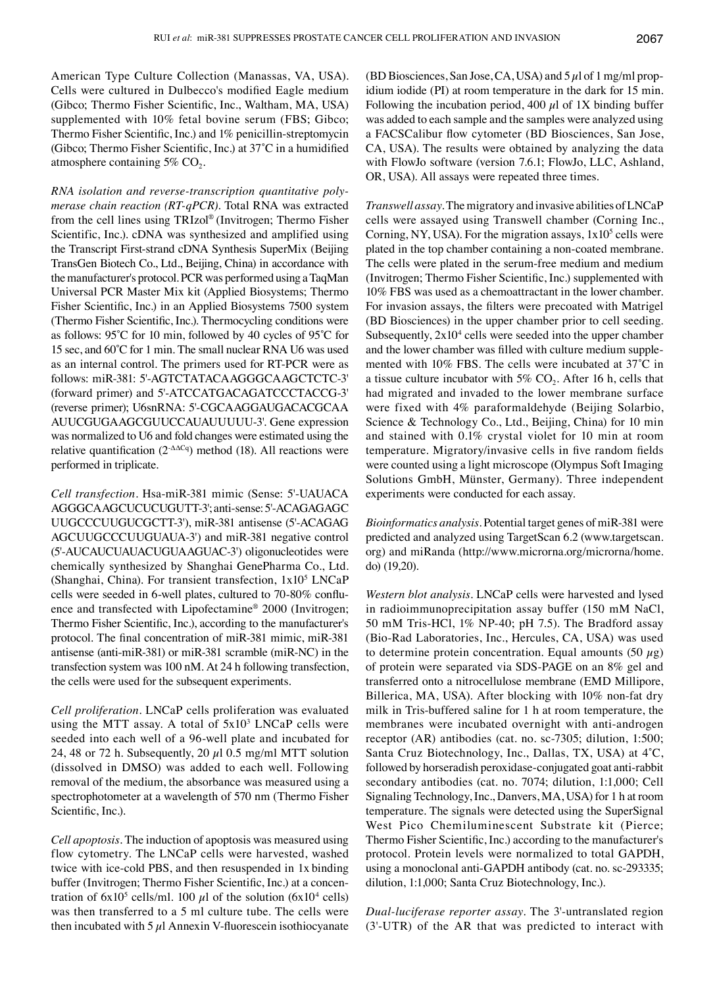American Type Culture Collection (Manassas, VA, USA). Cells were cultured in Dulbecco's modified Eagle medium (Gibco; Thermo Fisher Scientific, Inc., Waltham, MA, USA) supplemented with 10% fetal bovine serum (FBS; Gibco; Thermo Fisher Scientific, Inc.) and 1% penicillin-streptomycin (Gibco; Thermo Fisher Scientific, Inc.) at 37˚C in a humidified atmosphere containing  $5\%$  CO<sub>2</sub>.

*RNA isolation and reverse‑transcription quantitative poly‑ merase chain reaction (RT‑qPCR).* Total RNA was extracted from the cell lines using TRIzol® (Invitrogen; Thermo Fisher Scientific, Inc.). cDNA was synthesized and amplified using the Transcript First‑strand cDNA Synthesis SuperMix (Beijing TransGen Biotech Co., Ltd., Beijing, China) in accordance with the manufacturer's protocol. PCR was performed using a TaqMan Universal PCR Master Mix kit (Applied Biosystems; Thermo Fisher Scientific, Inc.) in an Applied Biosystems 7500 system (Thermo Fisher Scientific, Inc.). Thermocycling conditions were as follows: 95˚C for 10 min, followed by 40 cycles of 95˚C for 15 sec, and 60˚C for 1 min. The small nuclear RNA U6 was used as an internal control. The primers used for RT-PCR were as follows: miR‑381: 5'‑AGTCTATACAAGGGCAAGCTCTC‑3' (forward primer) and 5'‑ATCCATGACAGATCCCTACCG‑3' (reverse primer); U6snRNA: 5'‑CGCAAGGAUGACACGCAA AUUCGUGAAGCGUUCCAUAUUUUU‑3'. Gene expression was normalized to U6 and fold changes were estimated using the relative quantification ( $2^{-\Delta\Delta Cq}$ ) method (18). All reactions were performed in triplicate.

*Cell transfection.* Hsa‑miR‑381 mimic (Sense: 5'‑UAUACA AGGGCAAGCUCUCUGUTT‑3'; anti‑sense: 5'‑ACAGAGAGC UUGCCCUUGUCGCTT‑3'), miR‑381 antisense (5'‑ACAGAG AGCUUGCCCUUGUAUA‑3') and miR‑381 negative control (5'‑AUCAUCUAUACUGUAAGUAC‑3') oligonucleotides were chemically synthesized by Shanghai GenePharma Co., Ltd. (Shanghai, China). For transient transfection,  $1x10^5$  LNCaP cells were seeded in 6‑well plates, cultured to 70‑80% confluence and transfected with Lipofectamine® 2000 (Invitrogen; Thermo Fisher Scientific, Inc.), according to the manufacturer's protocol. The final concentration of miR‑381 mimic, miR‑381 antisense (anti-miR-381) or miR-381 scramble (miR-NC) in the transfection system was 100 nM. At 24 h following transfection, the cells were used for the subsequent experiments.

*Cell proliferation.* LNCaP cells proliferation was evaluated using the MTT assay. A total of  $5x10^3$  LNCaP cells were seeded into each well of a 96-well plate and incubated for 24, 48 or 72 h. Subsequently, 20  $\mu$ 1 0.5 mg/ml MTT solution (dissolved in DMSO) was added to each well. Following removal of the medium, the absorbance was measured using a spectrophotometer at a wavelength of 570 nm (Thermo Fisher Scientific, Inc.).

*Cell apoptosis.* The induction of apoptosis was measured using flow cytometry. The LNCaP cells were harvested, washed twice with ice-cold PBS, and then resuspended in 1x binding buffer (Invitrogen; Thermo Fisher Scientific, Inc.) at a concentration of  $6x10^5$  cells/ml. 100  $\mu$ l of the solution (6x10<sup>4</sup> cells) was then transferred to a 5 ml culture tube. The cells were then incubated with  $5 \mu$ l Annexin V-fluorescein isothiocyanate (BD Biosciences, San Jose, CA, USA) and  $5 \mu$ l of 1 mg/ml propidium iodide (PI) at room temperature in the dark for 15 min. Following the incubation period, 400  $\mu$ l of 1X binding buffer was added to each sample and the samples were analyzed using a FACSCalibur flow cytometer (BD Biosciences, San Jose, CA, USA). The results were obtained by analyzing the data with FlowJo software (version 7.6.1; FlowJo, LLC, Ashland, OR, USA). All assays were repeated three times.

*Transwell assay.* The migratory and invasive abilities of LNCaP cells were assayed using Transwell chamber (Corning Inc., Corning, NY, USA). For the migration assays,  $1x10<sup>5</sup>$  cells were plated in the top chamber containing a non-coated membrane. The cells were plated in the serum-free medium and medium (Invitrogen; Thermo Fisher Scientific, Inc.) supplemented with 10% FBS was used as a chemoattractant in the lower chamber. For invasion assays, the filters were precoated with Matrigel (BD Biosciences) in the upper chamber prior to cell seeding. Subsequently,  $2x10<sup>4</sup>$  cells were seeded into the upper chamber and the lower chamber was filled with culture medium supplemented with 10% FBS. The cells were incubated at 37˚C in a tissue culture incubator with  $5\%$  CO<sub>2</sub>. After 16 h, cells that had migrated and invaded to the lower membrane surface were fixed with 4% paraformaldehyde (Beijing Solarbio, Science & Technology Co., Ltd., Beijing, China) for 10 min and stained with 0.1% crystal violet for 10 min at room temperature. Migratory/invasive cells in five random fields were counted using a light microscope (Olympus Soft Imaging Solutions GmbH, Münster, Germany). Three independent experiments were conducted for each assay.

*Bioinformatics analysis.* Potential target genes of miR‑381 were predicted and analyzed using TargetScan 6.2 (www.targetscan. org) and miRanda (http://www.microrna.org/microrna/home. do) (19,20).

*Western blot analysis.* LNCaP cells were harvested and lysed in radioimmunoprecipitation assay buffer (150 mM NaCl, 50 mM Tris‑HCl, 1% NP‑40; pH 7.5). The Bradford assay (Bio‑Rad Laboratories, Inc., Hercules, CA, USA) was used to determine protein concentration. Equal amounts (50  $\mu$ g) of protein were separated via SDS‑PAGE on an 8% gel and transferred onto a nitrocellulose membrane (EMD Millipore, Billerica, MA, USA). After blocking with 10% non-fat dry milk in Tris-buffered saline for 1 h at room temperature, the membranes were incubated overnight with anti-androgen receptor (AR) antibodies (cat. no. sc-7305; dilution, 1:500; Santa Cruz Biotechnology, Inc., Dallas, TX, USA) at 4˚C, followed by horseradish peroxidase‑conjugated goat anti‑rabbit secondary antibodies (cat. no. 7074; dilution, 1:1,000; Cell Signaling Technology, Inc., Danvers, MA, USA) for 1 h at room temperature. The signals were detected using the SuperSignal West Pico Chemiluminescent Substrate kit (Pierce; Thermo Fisher Scientific, Inc.) according to the manufacturer's protocol. Protein levels were normalized to total GAPDH, using a monoclonal anti-GAPDH antibody (cat. no. sc-293335; dilution, 1:1,000; Santa Cruz Biotechnology, Inc.).

*Dual‑luciferase reporter assay.* The 3'‑untranslated region (3'‑UTR) of the AR that was predicted to interact with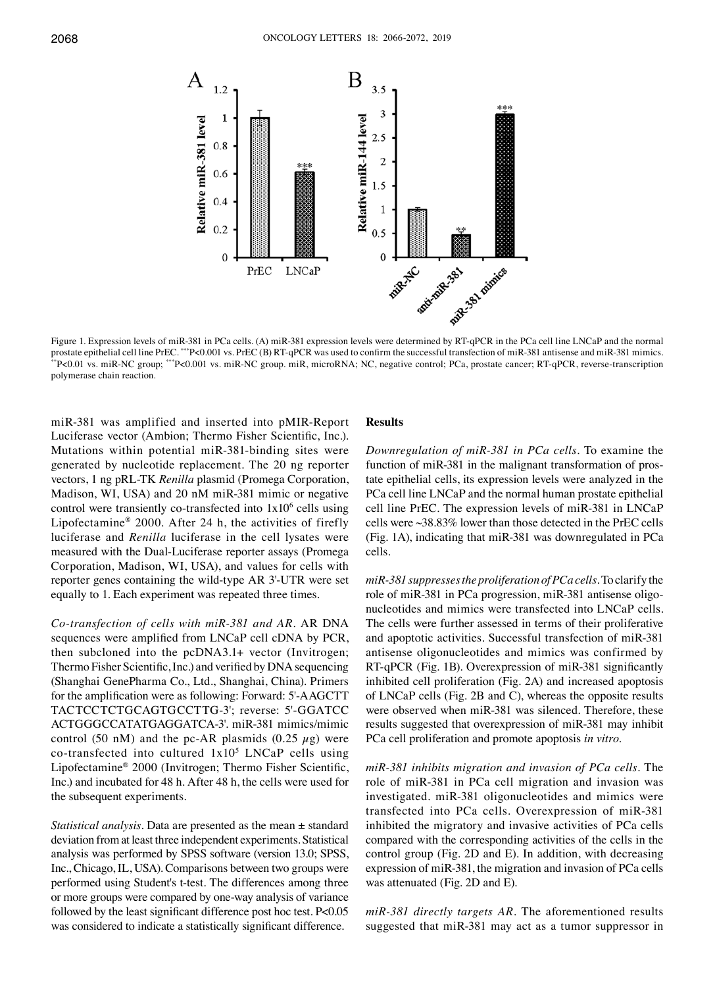

Figure 1. Expression levels of miR-381 in PCa cells. (A) miR-381 expression levels were determined by RT-qPCR in the PCa cell line LNCaP and the normal prostate epithelial cell line PrEC. \*\*\*P<0.001 vs. PrEC (B) RT-qPCR was used to confirm the successful transfection of miR-381 antisense and miR-381 mimics. \*\*P<0.01 vs. miR‑NC group; \*\*\*P<0.001 vs. miR‑NC group. miR, microRNA; NC, negative control; PCa, prostate cancer; RT‑qPCR, reverse‑transcription polymerase chain reaction.

miR‑381 was amplified and inserted into pMIR‑Report Luciferase vector (Ambion; Thermo Fisher Scientific, Inc.). Mutations within potential miR-381-binding sites were generated by nucleotide replacement. The 20 ng reporter vectors, 1 ng pRL-TK *Renilla* plasmid (Promega Corporation, Madison, WI, USA) and 20 nM miR‑381 mimic or negative control were transiently co-transfected into  $1x10^6$  cells using Lipofectamine® 2000. After 24 h, the activities of firefly luciferase and *Renilla* luciferase in the cell lysates were measured with the Dual-Luciferase reporter assays (Promega Corporation, Madison, WI, USA), and values for cells with reporter genes containing the wild‑type AR 3'‑UTR were set equally to 1. Each experiment was repeated three times.

*Co‑transfection of cells with miR‑381 and AR.* AR DNA sequences were amplified from LNCaP cell cDNA by PCR, then subcloned into the pcDNA3.1+ vector (Invitrogen; Thermo Fisher Scientific, Inc.) and verified by DNA sequencing (Shanghai GenePharma Co., Ltd., Shanghai, China). Primers for the amplification were as following: Forward: 5'‑AAGCTT TACTCCTCTGCAGTGCCTTG‑3'; reverse: 5'‑GGATCC ACTGGGCCATATGAGGATCA‑3'. miR‑381 mimics/mimic control (50 nM) and the pc-AR plasmids (0.25  $\mu$ g) were co-transfected into cultured  $1x10<sup>5</sup>$  LNCaP cells using Lipofectamine® 2000 (Invitrogen; Thermo Fisher Scientific, Inc.) and incubated for 48 h. After 48 h, the cells were used for the subsequent experiments.

*Statistical analysis.* Data are presented as the mean ± standard deviation from at least three independent experiments. Statistical analysis was performed by SPSS software (version 13.0; SPSS, Inc., Chicago, IL, USA). Comparisons between two groups were performed using Student's t‑test. The differences among three or more groups were compared by one-way analysis of variance followed by the least significant difference post hoc test. P<0.05 was considered to indicate a statistically significant difference.

# **Results**

*Downregulation of miR‑381 in PCa cells.* To examine the function of miR‑381 in the malignant transformation of prostate epithelial cells, its expression levels were analyzed in the PCa cell line LNCaP and the normal human prostate epithelial cell line PrEC. The expression levels of miR‑381 in LNCaP cells were ~38.83% lower than those detected in the PrEC cells (Fig. 1A), indicating that miR‑381 was downregulated in PCa cells.

*miR‑381 suppresses the proliferation of PCa cells.* To clarify the role of miR‑381 in PCa progression, miR‑381 antisense oligonucleotides and mimics were transfected into LNCaP cells. The cells were further assessed in terms of their proliferative and apoptotic activities. Successful transfection of miR‑381 antisense oligonucleotides and mimics was confirmed by RT‑qPCR (Fig. 1B). Overexpression of miR‑381 significantly inhibited cell proliferation (Fig. 2A) and increased apoptosis of LNCaP cells (Fig. 2B and C), whereas the opposite results were observed when miR-381 was silenced. Therefore, these results suggested that overexpression of miR‑381 may inhibit PCa cell proliferation and promote apoptosis *in vitro*.

*miR‑381 inhibits migration and invasion of PCa cells.* The role of miR‑381 in PCa cell migration and invasion was investigated. miR‑381 oligonucleotides and mimics were transfected into PCa cells. Overexpression of miR‑381 inhibited the migratory and invasive activities of PCa cells compared with the corresponding activities of the cells in the control group (Fig. 2D and E). In addition, with decreasing expression of miR‑381, the migration and invasion of PCa cells was attenuated (Fig. 2D and E).

*miR‑381 directly targets AR.* The aforementioned results suggested that miR‑381 may act as a tumor suppressor in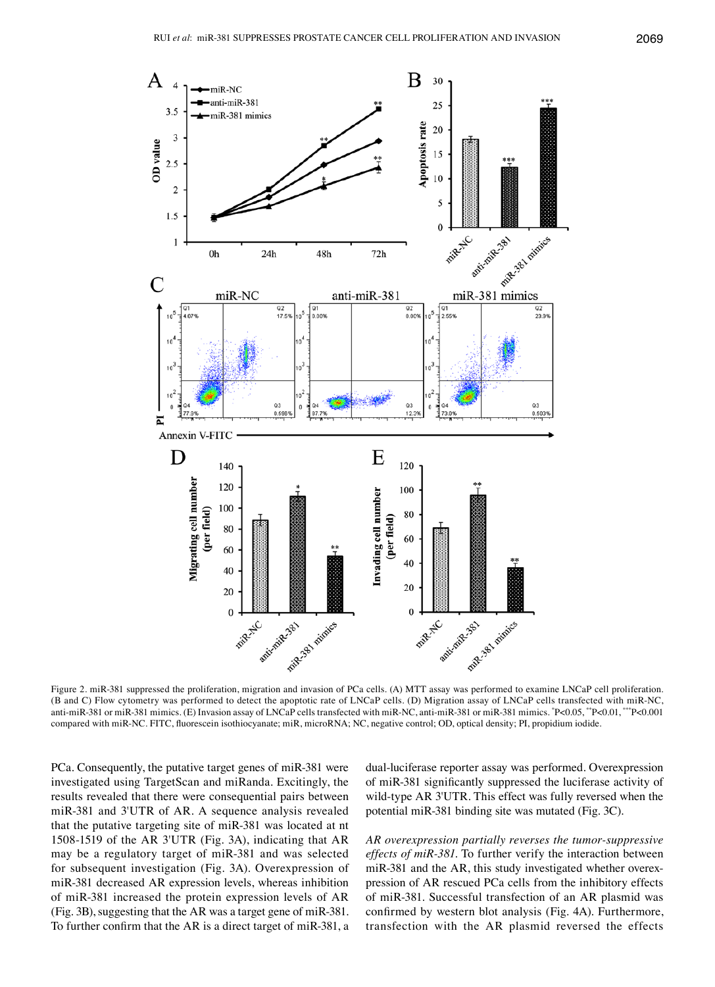

Figure 2. miR‑381 suppressed the proliferation, migration and invasion of PCa cells. (A) MTT assay was performed to examine LNCaP cell proliferation. (B and C) Flow cytometry was performed to detect the apoptotic rate of LNCaP cells. (D) Migration assay of LNCaP cells transfected with miR-NC, anti-miR-381 or miR-381 mimics. (E) Invasion assay of LNCaP cells transfected with miR-NC, anti-miR-381 or miR-381 mimics. \*P<0.05, \*\*P<0.01, \*\*\*P<0.001 compared with miR‑NC. FITC, fluorescein isothiocyanate; miR, microRNA; NC, negative control; OD, optical density; PI, propidium iodide.

PCa. Consequently, the putative target genes of miR‑381 were investigated using TargetScan and miRanda. Excitingly, the results revealed that there were consequential pairs between miR‑381 and 3'UTR of AR. A sequence analysis revealed that the putative targeting site of miR‑381 was located at nt 1508‑1519 of the AR 3'UTR (Fig. 3A), indicating that AR may be a regulatory target of miR‑381 and was selected for subsequent investigation (Fig. 3A). Overexpression of miR‑381 decreased AR expression levels, whereas inhibition of miR‑381 increased the protein expression levels of AR (Fig. 3B), suggesting that the AR was a target gene of miR‑381. To further confirm that the AR is a direct target of miR‑381, a dual-luciferase reporter assay was performed. Overexpression of miR‑381 significantly suppressed the luciferase activity of wild-type AR 3'UTR. This effect was fully reversed when the potential miR‑381 binding site was mutated (Fig. 3C).

*AR overexpression partially reverses the tumor‑suppressive effects of miR‑381.* To further verify the interaction between miR‑381 and the AR, this study investigated whether overexpression of AR rescued PCa cells from the inhibitory effects of miR‑381. Successful transfection of an AR plasmid was confirmed by western blot analysis (Fig. 4A). Furthermore, transfection with the AR plasmid reversed the effects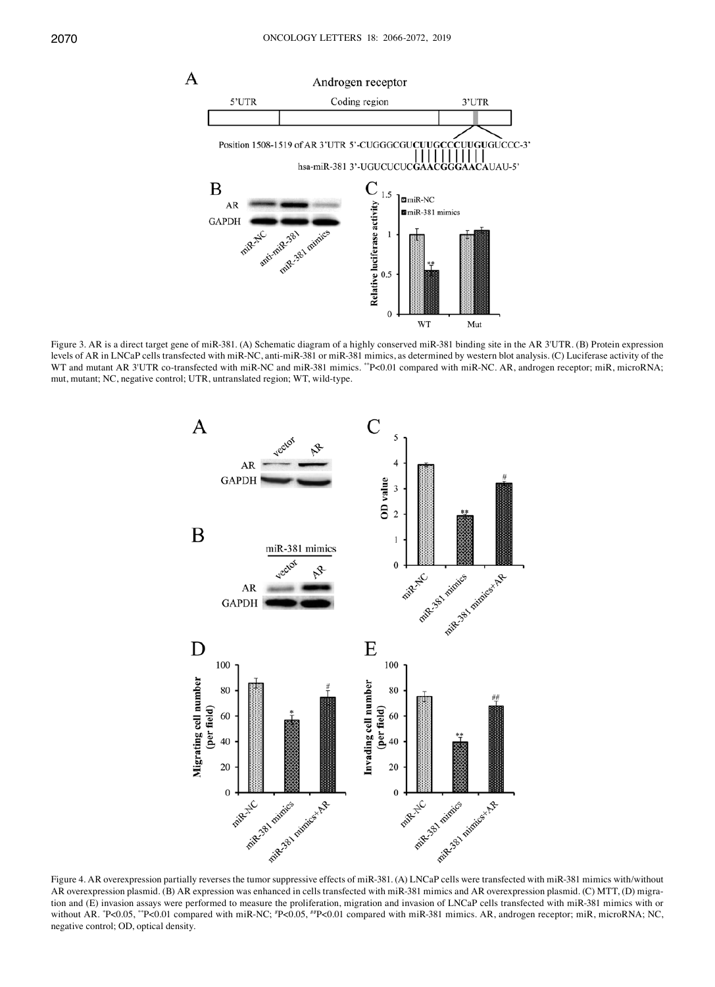

Figure 3. AR is a direct target gene of miR‑381. (A) Schematic diagram of a highly conserved miR‑381 binding site in the AR 3'UTR. (B) Protein expression levels of AR in LNCaP cells transfected with miR-NC, anti-miR-381 or miR-381 mimics, as determined by western blot analysis. (C) Luciferase activity of the WT and mutant AR 3'UTR co-transfected with miR-NC and miR-381 mimics. \*\*P<0.01 compared with miR-NC. AR, androgen receptor; miR, microRNA; mut, mutant; NC, negative control; UTR, untranslated region; WT, wild-type.



Figure 4. AR overexpression partially reverses the tumor suppressive effects of miR‑381. (A) LNCaP cells were transfected with miR‑381 mimics with/without AR overexpression plasmid. (B) AR expression was enhanced in cells transfected with miR-381 mimics and AR overexpression plasmid. (C) MTT, (D) migration and (E) invasion assays were performed to measure the proliferation, migration and invasion of LNCaP cells transfected with miR‑381 mimics with or without AR. \*P<0.05, \*\*P<0.01 compared with miR-NC; \*P<0.05, \*\*P<0.01 compared with miR-381 mimics. AR, androgen receptor; miR, microRNA; NC, negative control; OD, optical density.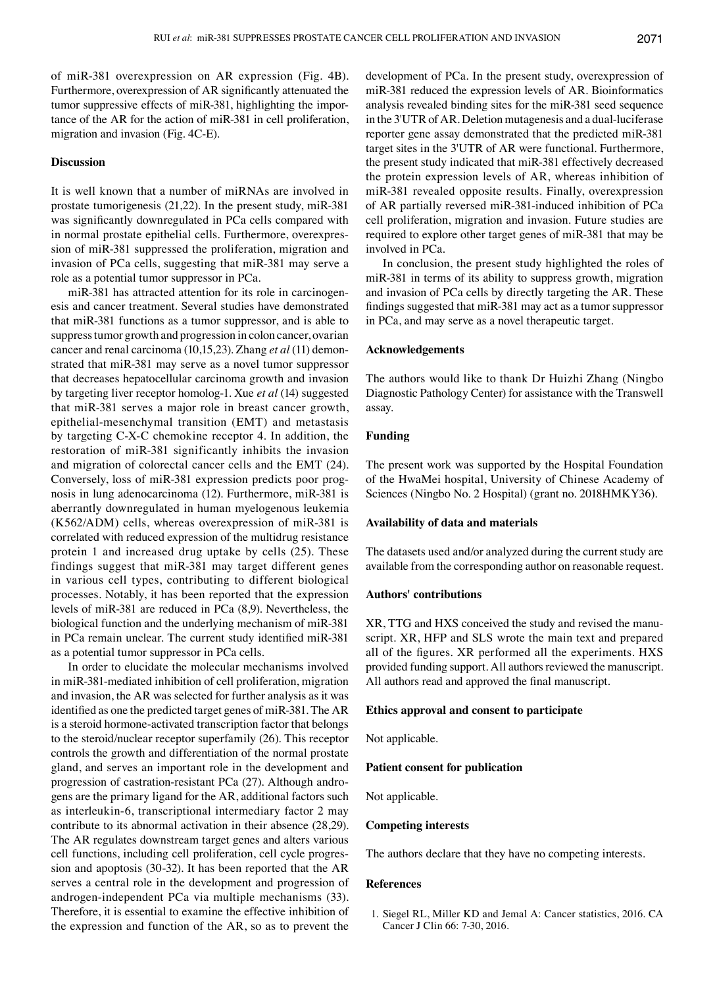of miR‑381 overexpression on AR expression (Fig. 4B). Furthermore, overexpression of AR significantly attenuated the tumor suppressive effects of miR-381, highlighting the importance of the AR for the action of miR‑381 in cell proliferation, migration and invasion (Fig. 4C‑E).

# **Discussion**

It is well known that a number of miRNAs are involved in prostate tumorigenesis (21,22). In the present study, miR‑381 was significantly downregulated in PCa cells compared with in normal prostate epithelial cells. Furthermore, overexpression of miR‑381 suppressed the proliferation, migration and invasion of PCa cells, suggesting that miR‑381 may serve a role as a potential tumor suppressor in PCa.

miR‑381 has attracted attention for its role in carcinogenesis and cancer treatment. Several studies have demonstrated that miR‑381 functions as a tumor suppressor, and is able to suppress tumor growth and progression in colon cancer, ovarian cancer and renal carcinoma (10,15,23). Zhang *et al* (11) demonstrated that miR‑381 may serve as a novel tumor suppressor that decreases hepatocellular carcinoma growth and invasion by targeting liver receptor homolog-1. Xue *et al* (14) suggested that miR‑381 serves a major role in breast cancer growth, epithelial-mesenchymal transition (EMT) and metastasis by targeting C‑X‑C chemokine receptor 4. In addition, the restoration of miR‑381 significantly inhibits the invasion and migration of colorectal cancer cells and the EMT (24). Conversely, loss of miR‑381 expression predicts poor prognosis in lung adenocarcinoma (12). Furthermore, miR‑381 is aberrantly downregulated in human myelogenous leukemia (K562/ADM) cells, whereas overexpression of miR‑381 is correlated with reduced expression of the multidrug resistance protein 1 and increased drug uptake by cells (25). These findings suggest that miR‑381 may target different genes in various cell types, contributing to different biological processes. Notably, it has been reported that the expression levels of miR‑381 are reduced in PCa (8,9). Nevertheless, the biological function and the underlying mechanism of miR‑381 in PCa remain unclear. The current study identified miR‑381 as a potential tumor suppressor in PCa cells.

In order to elucidate the molecular mechanisms involved in miR‑381‑mediated inhibition of cell proliferation, migration and invasion, the AR was selected for further analysis as it was identified as one the predicted target genes of miR‑381. The AR is a steroid hormone-activated transcription factor that belongs to the steroid/nuclear receptor superfamily (26). This receptor controls the growth and differentiation of the normal prostate gland, and serves an important role in the development and progression of castration-resistant PCa (27). Although androgens are the primary ligand for the AR, additional factors such as interleukin-6, transcriptional intermediary factor 2 may contribute to its abnormal activation in their absence (28,29). The AR regulates downstream target genes and alters various cell functions, including cell proliferation, cell cycle progression and apoptosis (30‑32). It has been reported that the AR serves a central role in the development and progression of androgen‑independent PCa via multiple mechanisms (33). Therefore, it is essential to examine the effective inhibition of the expression and function of the AR, so as to prevent the development of PCa. In the present study, overexpression of miR‑381 reduced the expression levels of AR. Bioinformatics analysis revealed binding sites for the miR‑381 seed sequence in the 3'UTR of AR. Deletion mutagenesis and a dual-luciferase reporter gene assay demonstrated that the predicted miR‑381 target sites in the 3'UTR of AR were functional. Furthermore, the present study indicated that miR‑381 effectively decreased the protein expression levels of AR, whereas inhibition of miR‑381 revealed opposite results. Finally, overexpression of AR partially reversed miR‑381‑induced inhibition of PCa cell proliferation, migration and invasion. Future studies are required to explore other target genes of miR‑381 that may be involved in PCa.

In conclusion, the present study highlighted the roles of miR‑381 in terms of its ability to suppress growth, migration and invasion of PCa cells by directly targeting the AR. These findings suggested that miR‑381 may act as a tumor suppressor in PCa, and may serve as a novel therapeutic target.

# **Acknowledgements**

The authors would like to thank Dr Huizhi Zhang (Ningbo Diagnostic Pathology Center) for assistance with the Transwell assay.

# **Funding**

The present work was supported by the Hospital Foundation of the HwaMei hospital, University of Chinese Academy of Sciences (Ningbo No. 2 Hospital) (grant no. 2018HMKY36).

#### **Availability of data and materials**

The datasets used and/or analyzed during the current study are available from the corresponding author on reasonable request.

# **Authors' contributions**

XR, TTG and HXS conceived the study and revised the manuscript. XR, HFP and SLS wrote the main text and prepared all of the figures. XR performed all the experiments. HXS provided funding support. All authors reviewed the manuscript. All authors read and approved the final manuscript.

#### **Ethics approval and consent to participate**

Not applicable.

#### **Patient consent for publication**

Not applicable.

# **Competing interests**

The authors declare that they have no competing interests.

#### **References**

1. Siegel RL, Miller KD and Jemal A: Cancer statistics, 2016. CA Cancer J Clin 66: 7‑30, 2016.